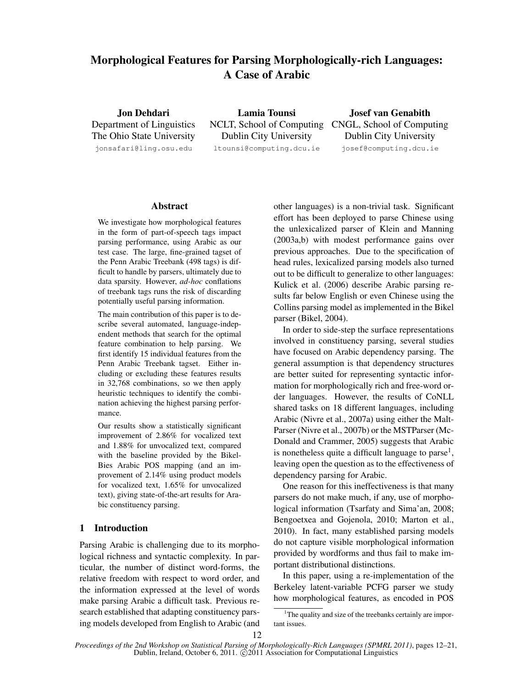# Morphological Features for Parsing Morphologically-rich Languages: A Case of Arabic

Jon Dehdari Department of Linguistics The Ohio State University jonsafari@ling.osu.edu

Lamia Tounsi NCLT, School of Computing CNGL, School of Computing Dublin City University ltounsi@computing.dcu.ie

Josef van Genabith Dublin City University josef@computing.dcu.ie

#### Abstract

We investigate how morphological features in the form of part-of-speech tags impact parsing performance, using Arabic as our test case. The large, fine-grained tagset of the Penn Arabic Treebank (498 tags) is difficult to handle by parsers, ultimately due to data sparsity. However, *ad-hoc* conflations of treebank tags runs the risk of discarding potentially useful parsing information.

The main contribution of this paper is to describe several automated, language-independent methods that search for the optimal feature combination to help parsing. We first identify 15 individual features from the Penn Arabic Treebank tagset. Either including or excluding these features results in 32,768 combinations, so we then apply heuristic techniques to identify the combination achieving the highest parsing performance.

Our results show a statistically significant improvement of 2.86% for vocalized text and 1.88% for unvocalized text, compared with the baseline provided by the Bikel-Bies Arabic POS mapping (and an improvement of 2.14% using product models for vocalized text, 1.65% for unvocalized text), giving state-of-the-art results for Arabic constituency parsing.

# 1 Introduction

Parsing Arabic is challenging due to its morphological richness and syntactic complexity. In particular, the number of distinct word-forms, the relative freedom with respect to word order, and the information expressed at the level of words make parsing Arabic a difficult task. Previous research established that adapting constituency parsing models developed from English to Arabic (and other languages) is a non-trivial task. Significant effort has been deployed to parse Chinese using the unlexicalized parser of Klein and Manning (2003a,b) with modest performance gains over previous approaches. Due to the specification of head rules, lexicalized parsing models also turned out to be difficult to generalize to other languages: Kulick et al. (2006) describe Arabic parsing results far below English or even Chinese using the Collins parsing model as implemented in the Bikel parser (Bikel, 2004).

In order to side-step the surface representations involved in constituency parsing, several studies have focused on Arabic dependency parsing. The general assumption is that dependency structures are better suited for representing syntactic information for morphologically rich and free-word order languages. However, the results of CoNLL shared tasks on 18 different languages, including Arabic (Nivre et al., 2007a) using either the Malt-Parser (Nivre et al., 2007b) or the MSTParser (Mc-Donald and Crammer, 2005) suggests that Arabic is nonetheless quite a difficult language to parse<sup>1</sup>, leaving open the question as to the effectiveness of dependency parsing for Arabic.

One reason for this ineffectiveness is that many parsers do not make much, if any, use of morphological information (Tsarfaty and Sima'an, 2008; Bengoetxea and Gojenola, 2010; Marton et al., 2010). In fact, many established parsing models do not capture visible morphological information provided by wordforms and thus fail to make important distributional distinctions.

In this paper, using a re-implementation of the Berkeley latent-variable PCFG parser we study how morphological features, as encoded in POS

<sup>&</sup>lt;sup>1</sup>The quality and size of the treebanks certainly are important issues.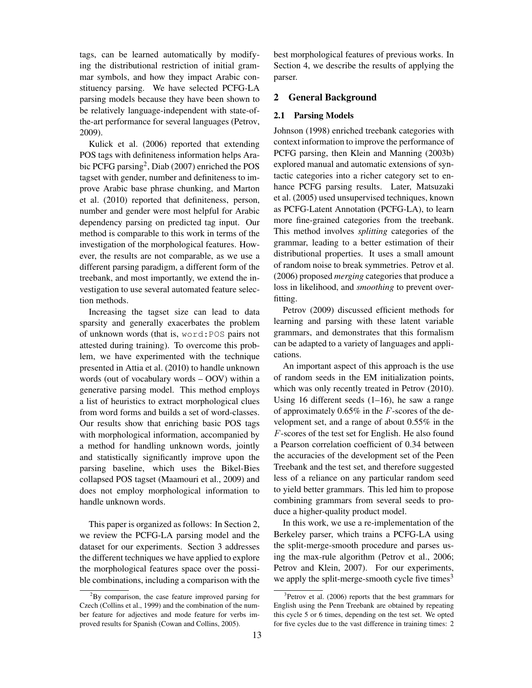tags, can be learned automatically by modifying the distributional restriction of initial grammar symbols, and how they impact Arabic constituency parsing. We have selected PCFG-LA parsing models because they have been shown to be relatively language-independent with state-ofthe-art performance for several languages (Petrov, 2009).

Kulick et al. (2006) reported that extending POS tags with definiteness information helps Arabic PCFG parsing<sup>2</sup>, Diab (2007) enriched the POS tagset with gender, number and definiteness to improve Arabic base phrase chunking, and Marton et al. (2010) reported that definiteness, person, number and gender were most helpful for Arabic dependency parsing on predicted tag input. Our method is comparable to this work in terms of the investigation of the morphological features. However, the results are not comparable, as we use a different parsing paradigm, a different form of the treebank, and most importantly, we extend the investigation to use several automated feature selection methods.

Increasing the tagset size can lead to data sparsity and generally exacerbates the problem of unknown words (that is, word:POS pairs not attested during training). To overcome this problem, we have experimented with the technique presented in Attia et al. (2010) to handle unknown words (out of vocabulary words – OOV) within a generative parsing model. This method employs a list of heuristics to extract morphological clues from word forms and builds a set of word-classes. Our results show that enriching basic POS tags with morphological information, accompanied by a method for handling unknown words, jointly and statistically significantly improve upon the parsing baseline, which uses the Bikel-Bies collapsed POS tagset (Maamouri et al., 2009) and does not employ morphological information to handle unknown words.

This paper is organized as follows: In Section 2, we review the PCFG-LA parsing model and the dataset for our experiments. Section 3 addresses the different techniques we have applied to explore the morphological features space over the possible combinations, including a comparison with the

best morphological features of previous works. In Section 4, we describe the results of applying the parser.

## 2 General Background

#### 2.1 Parsing Models

Johnson (1998) enriched treebank categories with context information to improve the performance of PCFG parsing, then Klein and Manning (2003b) explored manual and automatic extensions of syntactic categories into a richer category set to enhance PCFG parsing results. Later, Matsuzaki et al. (2005) used unsupervised techniques, known as PCFG-Latent Annotation (PCFG-LA), to learn more fine-grained categories from the treebank. This method involves *splitting* categories of the grammar, leading to a better estimation of their distributional properties. It uses a small amount of random noise to break symmetries. Petrov et al. (2006) proposed *merging* categories that produce a loss in likelihood, and *smoothing* to prevent overfitting.

Petrov (2009) discussed efficient methods for learning and parsing with these latent variable grammars, and demonstrates that this formalism can be adapted to a variety of languages and applications.

An important aspect of this approach is the use of random seeds in the EM initialization points, which was only recently treated in Petrov (2010). Using 16 different seeds  $(1-16)$ , he saw a range of approximately  $0.65\%$  in the F-scores of the development set, and a range of about 0.55% in the F-scores of the test set for English. He also found a Pearson correlation coefficient of 0.34 between the accuracies of the development set of the Peen Treebank and the test set, and therefore suggested less of a reliance on any particular random seed to yield better grammars. This led him to propose combining grammars from several seeds to produce a higher-quality product model.

In this work, we use a re-implementation of the Berkeley parser, which trains a PCFG-LA using the split-merge-smooth procedure and parses using the max-rule algorithm (Petrov et al., 2006; Petrov and Klein, 2007). For our experiments, we apply the split-merge-smooth cycle five times $3$ 

 ${}^{2}$ By comparison, the case feature improved parsing for Czech (Collins et al., 1999) and the combination of the number feature for adjectives and mode feature for verbs improved results for Spanish (Cowan and Collins, 2005).

<sup>3</sup>Petrov et al. (2006) reports that the best grammars for English using the Penn Treebank are obtained by repeating this cycle 5 or 6 times, depending on the test set. We opted for five cycles due to the vast difference in training times: 2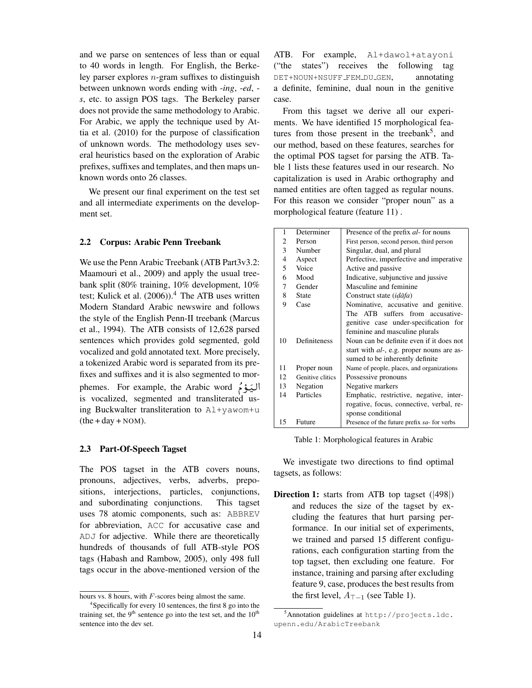and we parse on sentences of less than or equal to 40 words in length. For English, the Berkeley parser explores  $n$ -gram suffixes to distinguish between unknown words ending with -*ing*, -*ed*, *s*, etc. to assign POS tags. The Berkeley parser does not provide the same methodology to Arabic. For Arabic, we apply the technique used by Attia et al. (2010) for the purpose of classification of unknown words. The methodology uses several heuristics based on the exploration of Arabic prefixes, suffixes and templates, and then maps unknown words onto 26 classes.

We present our final experiment on the test set and all intermediate experiments on the development set.

#### 2.2 Corpus: Arabic Penn Treebank

We use the Penn Arabic Treebank (ATB Part3v3.2: Maamouri et al., 2009) and apply the usual treebank split (80% training, 10% development, 10% test; Kulick et al.  $(2006)$ .<sup>4</sup> The ATB uses written Modern Standard Arabic newswire and follows the style of the English Penn-II treebank (Marcus et al., 1994). The ATB consists of 12,628 parsed sentences which provides gold segmented, gold vocalized and gold annotated text. More precisely, a tokenized Arabic word is separated from its prefixes and suffixes and it is also segmented to morfixes and suffixes and it is also segmented to mor-<br>اليَــوْمُ bemes. For example, the Arabic word O<br>- $\tilde{\cdot}$ is vocalized, segmented and transliterated using Buckwalter transliteration to Al+yawom+u  $(the + day + NOM).$ 

#### 2.3 Part-Of-Speech Tagset

The POS tagset in the ATB covers nouns, pronouns, adjectives, verbs, adverbs, prepositions, interjections, particles, conjunctions, and subordinating conjunctions. This tagset uses 78 atomic components, such as: ABBREV for abbreviation, ACC for accusative case and ADJ for adjective. While there are theoretically hundreds of thousands of full ATB-style POS tags (Habash and Rambow, 2005), only 498 full tags occur in the above-mentioned version of the ATB. For example, Al+dawol+atayoni ("the states") receives the following tag DET+NOUN+NSUFF\_FEM\_DU\_GEN, annotating a definite, feminine, dual noun in the genitive case.

From this tagset we derive all our experiments. We have identified 15 morphological features from those present in the treebank<sup>5</sup>, and our method, based on these features, searches for the optimal POS tagset for parsing the ATB. Table 1 lists these features used in our research. No capitalization is used in Arabic orthography and named entities are often tagged as regular nouns. For this reason we consider "proper noun" as a morphological feature (feature 11) .

| 1              | Determiner       | Presence of the prefix <i>al</i> -for nouns       |  |
|----------------|------------------|---------------------------------------------------|--|
| $\mathfrak{D}$ | Person           | First person, second person, third person         |  |
| 3              | Number           | Singular, dual, and plural                        |  |
| 4              | Aspect           | Perfective, imperfective and imperative           |  |
| 5              | Voice            | Active and passive                                |  |
| 6              | Mood             | Indicative, subjunctive and jussive               |  |
| 7              | Gender           | Masculine and feminine                            |  |
| 8              | <b>State</b>     | Construct state <i>(idafa)</i>                    |  |
| 9              | Case             | Nominative, accusative and genitive.              |  |
|                |                  | The ATB suffers from accusative-                  |  |
|                |                  | genitive case under-specification for             |  |
|                |                  | feminine and masculine plurals                    |  |
| 10             | Definiteness     | Noun can be definite even if it does not          |  |
|                |                  | start with <i>al</i> -, e.g. proper nouns are as- |  |
|                |                  | sumed to be inherently definite                   |  |
| 11             | Proper noun      | Name of people, places, and organizations         |  |
| 12             | Genitive clitics | Possessive pronouns                               |  |
| 13             | Negation         | Negative markers                                  |  |
| 14             | Particles        | Emphatic, restrictive, negative, inter-           |  |
|                |                  | rogative, focus, connective, verbal, re-          |  |
|                |                  | sponse conditional                                |  |
| 15             | Future           | Presence of the future prefix sa- for verbs       |  |

Table 1: Morphological features in Arabic

We investigate two directions to find optimal tagsets, as follows:

Direction 1: starts from ATB top tagset (|498|) and reduces the size of the tagset by excluding the features that hurt parsing performance. In our initial set of experiments, we trained and parsed 15 different configurations, each configuration starting from the top tagset, then excluding one feature. For instance, training and parsing after excluding feature 9, case, produces the best results from the first level,  $A_{\top-1}$  (see Table 1).

hours vs. 8 hours, with  $F$ -scores being almost the same.

 $4$ Specifically for every 10 sentences, the first 8 go into the training set, the 9<sup>th</sup> sentence go into the test set, and the  $10<sup>th</sup>$ sentence into the dev set.

<sup>5</sup>Annotation guidelines at http://projects.ldc. upenn.edu/ArabicTreebank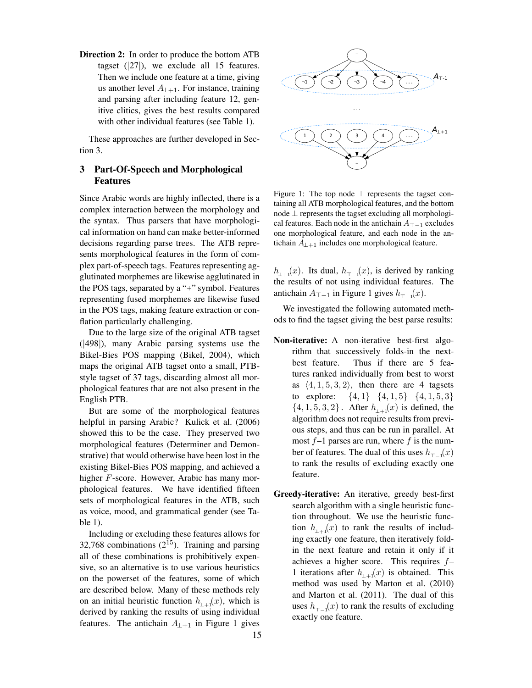Direction 2: In order to produce the bottom ATB tagset  $(|27|)$ , we exclude all 15 features. Then we include one feature at a time, giving us another level  $A_{\perp+1}$ . For instance, training and parsing after including feature 12, genitive clitics, gives the best results compared with other individual features (see Table 1).

These approaches are further developed in Section 3.

# 3 Part-Of-Speech and Morphological Features

Since Arabic words are highly inflected, there is a complex interaction between the morphology and the syntax. Thus parsers that have morphological information on hand can make better-informed decisions regarding parse trees. The ATB represents morphological features in the form of complex part-of-speech tags. Features representing agglutinated morphemes are likewise agglutinated in the POS tags, separated by a "+" symbol. Features representing fused morphemes are likewise fused in the POS tags, making feature extraction or conflation particularly challenging.

Due to the large size of the original ATB tagset (|498|), many Arabic parsing systems use the Bikel-Bies POS mapping (Bikel, 2004), which maps the original ATB tagset onto a small, PTBstyle tagset of 37 tags, discarding almost all morphological features that are not also present in the English PTB.

But are some of the morphological features helpful in parsing Arabic? Kulick et al. (2006) showed this to be the case. They preserved two morphological features (Determiner and Demonstrative) that would otherwise have been lost in the existing Bikel-Bies POS mapping, and achieved a higher F-score. However, Arabic has many morphological features. We have identified fifteen sets of morphological features in the ATB, such as voice, mood, and grammatical gender (see Table 1).

Including or excluding these features allows for 32,768 combinations  $(2^{15})$ . Training and parsing all of these combinations is prohibitively expensive, so an alternative is to use various heuristics on the powerset of the features, some of which are described below. Many of these methods rely on an initial heuristic function  $h_{\perp+1}(x)$ , which is derived by ranking the results of using individual features. The antichain  $A_{\perp+1}$  in Figure 1 gives

15



Figure 1: The top node  $\top$  represents the tagset containing all ATB morphological features, and the bottom node ⊥ represents the tagset excluding all morphological features. Each node in the antichain  $A_{\top-1}$  excludes one morphological feature, and each node in the antichain  $A_{\perp+1}$  includes one morphological feature.

 $h_{\perp+1}(x)$ . Its dual,  $h_{\perp-1}(x)$ , is derived by ranking the results of not using individual features. The antichain  $A_{\top-1}$  in Figure 1 gives  $h_{\top-1}(x)$ .

We investigated the following automated methods to find the tagset giving the best parse results:

- Non-iterative: A non-iterative best-first algorithm that successively folds-in the nextbest feature. Thus if there are 5 features ranked individually from best to worst as  $\langle 4, 1, 5, 3, 2 \rangle$ , then there are 4 tagsets to explore:  $\{4, 1\}$   $\{4, 1, 5\}$   $\{4, 1, 5, 3\}$  $\{4, 1, 5, 3, 2\}$ . After  $h_{\perp}f(x)$  is defined, the algorithm does not require results from previous steps, and thus can be run in parallel. At most  $f-1$  parses are run, where f is the number of features. The dual of this uses  $h_{\tau-1}(x)$ to rank the results of excluding exactly one feature.
- Greedy-iterative: An iterative, greedy best-first search algorithm with a single heuristic function throughout. We use the heuristic function  $h_{\perp\perp 1}(x)$  to rank the results of including exactly one feature, then iteratively foldin the next feature and retain it only if it achieves a higher score. This requires f– 1 iterations after  $h_{\perp+1}(x)$  is obtained. This method was used by Marton et al. (2010) and Marton et al. (2011). The dual of this uses  $h_{\tau-1}(x)$  to rank the results of excluding exactly one feature.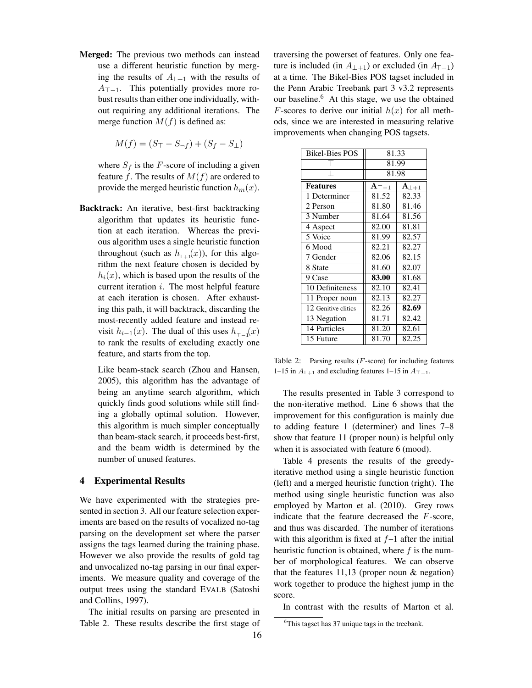Merged: The previous two methods can instead use a different heuristic function by merging the results of  $A_{\perp+1}$  with the results of  $A_{\top-1}$ . This potentially provides more robust results than either one individually, without requiring any additional iterations. The merge function  $M(f)$  is defined as:

$$
M(f) = (S_{\top} - S_{\neg f}) + (S_f - S_{\bot})
$$

where  $S_f$  is the F-score of including a given feature f. The results of  $M(f)$  are ordered to provide the merged heuristic function  $h_m(x)$ .

Backtrack: An iterative, best-first backtracking algorithm that updates its heuristic function at each iteration. Whereas the previous algorithm uses a single heuristic function throughout (such as  $h_{\perp+1}(x)$ ), for this algorithm the next feature chosen is decided by  $h_i(x)$ , which is based upon the results of the current iteration  $i$ . The most helpful feature at each iteration is chosen. After exhausting this path, it will backtrack, discarding the most-recently added feature and instead revisit  $h_{i-1}(x)$ . The dual of this uses  $h_{\tau-1}(x)$ to rank the results of excluding exactly one feature, and starts from the top.

Like beam-stack search (Zhou and Hansen, 2005), this algorithm has the advantage of being an anytime search algorithm, which quickly finds good solutions while still finding a globally optimal solution. However, this algorithm is much simpler conceptually than beam-stack search, it proceeds best-first, and the beam width is determined by the number of unused features.

#### 4 Experimental Results

We have experimented with the strategies presented in section 3. All our feature selection experiments are based on the results of vocalized no-tag parsing on the development set where the parser assigns the tags learned during the training phase. However we also provide the results of gold tag and unvocalized no-tag parsing in our final experiments. We measure quality and coverage of the output trees using the standard EVALB (Satoshi and Collins, 1997).

The initial results on parsing are presented in Table 2. These results describe the first stage of traversing the powerset of features. Only one feature is included (in  $A_{+1}$ ) or excluded (in  $A_{\top-1}$ ) at a time. The Bikel-Bies POS tagset included in the Penn Arabic Treebank part 3 v3.2 represents our baseline.<sup>6</sup> At this stage, we use the obtained F-scores to derive our initial  $h(x)$  for all methods, since we are interested in measuring relative improvements when changing POS tagsets.

| <b>Bikel-Bies POS</b> | 81.33                   |                     |
|-----------------------|-------------------------|---------------------|
|                       | 81.99                   |                     |
|                       | 81.98                   |                     |
| <b>Features</b>       | $\mathbf{A}_{\top - 1}$ | ${\rm A}_{\perp+1}$ |
| 1 Determiner          | 81.52                   | 82.33               |
| 2 Person              | 81.80                   | 81.46               |
| 3 Number              | 81.64                   | 81.56               |
| 4 Aspect              | 82.00                   | 81.81               |
| 5 Voice               | 81.99                   | 82.57               |
| 6 Mood                | 82.21                   | 82.27               |
| 7 Gender              | 82.06                   | 82.15               |
| 8 State               | 81.60                   | 82.07               |
| 9 Case                | 83.00                   | 81.68               |
| 10 Definiteness       | 82.10                   | 82.41               |
| 11 Proper noun        | 82.13                   | 82.27               |
| 12 Genitive clitics   | 82.26                   | 82.69               |
| 13 Negation           | 81.71                   | 82.42               |
| 14 Particles          | 81.20                   | 82.61               |
| 15 Future             | 81.70                   | 82.25               |

Table 2: Parsing results  $(F\text{-score})$  for including features 1–15 in  $A_{\perp+1}$  and excluding features 1–15 in  $A_{\perp-1}$ .

The results presented in Table 3 correspond to the non-iterative method. Line 6 shows that the improvement for this configuration is mainly due to adding feature 1 (determiner) and lines 7–8 show that feature 11 (proper noun) is helpful only when it is associated with feature 6 (mood).

Table 4 presents the results of the greedyiterative method using a single heuristic function (left) and a merged heuristic function (right). The method using single heuristic function was also employed by Marton et al. (2010). Grey rows indicate that the feature decreased the F-score, and thus was discarded. The number of iterations with this algorithm is fixed at  $f-1$  after the initial heuristic function is obtained, where  $f$  is the number of morphological features. We can observe that the features  $11,13$  (proper noun  $&$  negation) work together to produce the highest jump in the score.

In contrast with the results of Marton et al.

<sup>&</sup>lt;sup>6</sup>This tagset has 37 unique tags in the treebank.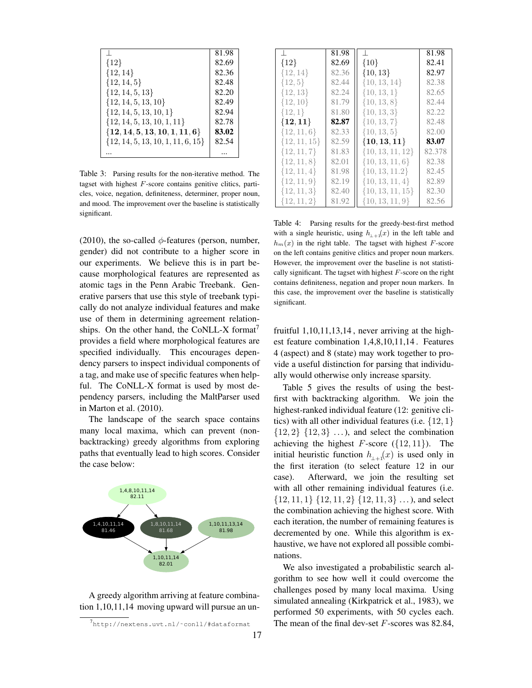|                                       | 81.98 |
|---------------------------------------|-------|
| ${12}$                                | 82.69 |
| $\{12, 14\}$                          | 82.36 |
| $\{12, 14, 5\}$                       | 82.48 |
| $\{12, 14, 5, 13\}$                   | 82.20 |
| $\{12, 14, 5, 13, 10\}$               | 82.49 |
| $\{12, 14, 5, 13, 10, 1\}$            | 82.94 |
| $\{12, 14, 5, 13, 10, 1, 11\}$        | 82.78 |
| $\{12, 14, 5, 13, 10, 1, 11, 6\}$     | 83.02 |
| $\{12, 14, 5, 13, 10, 1, 11, 6, 15\}$ | 82.54 |
|                                       |       |

Table 3: Parsing results for the non-iterative method. The tagset with highest F-score contains genitive clitics, particles, voice, negation, definiteness, determiner, proper noun, and mood. The improvement over the baseline is statistically significant.

(2010), the so-called  $\phi$ -features (person, number, gender) did not contribute to a higher score in our experiments. We believe this is in part because morphological features are represented as atomic tags in the Penn Arabic Treebank. Generative parsers that use this style of treebank typically do not analyze individual features and make use of them in determining agreement relationships. On the other hand, the CoNLL-X format $'$ provides a field where morphological features are specified individually. This encourages dependency parsers to inspect individual components of a tag, and make use of specific features when helpful. The CoNLL-X format is used by most dependency parsers, including the MaltParser used in Marton et al. (2010).

The landscape of the search space contains many local maxima, which can prevent (nonbacktracking) greedy algorithms from exploring paths that eventually lead to high scores. Consider the case below:



A greedy algorithm arriving at feature combination 1,10,11,14 moving upward will pursue an un-

|                  | 81.98 |                      | 81.98  |
|------------------|-------|----------------------|--------|
| ${12}$           | 82.69 | ${10}$               | 82.41  |
| $\{12, 14\}$     | 82.36 | $\{10, 13\}$         | 82.97  |
| $\{12, 5\}$      | 82.44 | $\{10, 13, 14\}$     | 82.38  |
| $\{12, 13\}$     | 82.24 | $\{10, 13, 1\}$      | 82.65  |
| $\{12, 10\}$     | 81.79 | $\{10, 13, 8\}$      | 82.44  |
| $\{12,1\}$       | 81.80 | $\{10, 13, 3\}$      | 82.22  |
| $\{12,11\}$      | 82.87 | $\{10, 13, 7\}$      | 82.48  |
| $\{12, 11, 6\}$  | 82.33 | $\{10, 13, 5\}$      | 82.00  |
| $\{12, 11, 15\}$ | 82.59 | $\{10, 13, 11\}$     | 83.07  |
| $\{12, 11, 7\}$  | 81.83 | $\{10, 13, 11, 12\}$ | 82.378 |
| $\{12, 11, 8\}$  | 82.01 | $\{10, 13, 11, 6\}$  | 82.38  |
| $\{12, 11, 4\}$  | 81.98 | $\{10, 13, 11.2\}$   | 82.45  |
| $\{12, 11, 9\}$  | 82.19 | $\{10, 13, 11, 4\}$  | 82.89  |
| $\{12, 11, 3\}$  | 82.40 | $\{10, 13, 11, 15\}$ | 82.30  |
| $\{12, 11, 2\}$  | 81.92 | $\{10, 13, 11, 9\}$  | 82.56  |

Table 4: Parsing results for the greedy-best-first method with a single heuristic, using  $h_{++1}(x)$  in the left table and  $h_m(x)$  in the right table. The tagset with highest F-score on the left contains genitive clitics and proper noun markers. However, the improvement over the baseline is not statistically significant. The tagset with highest  $F$ -score on the right contains definiteness, negation and proper noun markers. In this case, the improvement over the baseline is statistically significant.

fruitful 1,10,11,13,14 , never arriving at the highest feature combination 1,4,8,10,11,14 . Features 4 (aspect) and 8 (state) may work together to provide a useful distinction for parsing that individually would otherwise only increase sparsity.

Table 5 gives the results of using the bestfirst with backtracking algorithm. We join the highest-ranked individual feature (12: genitive clitics) with all other individual features (i.e.  $\{12, 1\}$  $\{12, 2\}$   $\{12, 3\}$  ...), and select the combination achieving the highest  $F$ -score ({12, 11}). The initial heuristic function  $h_{\perp\perp 1}(x)$  is used only in the first iteration (to select feature 12 in our case). Afterward, we join the resulting set with all other remaining individual features (i.e.  $\{12, 11, 1\}$   $\{12, 11, 2\}$   $\{12, 11, 3\}$  ...), and select the combination achieving the highest score. With each iteration, the number of remaining features is decremented by one. While this algorithm is exhaustive, we have not explored all possible combinations.

We also investigated a probabilistic search algorithm to see how well it could overcome the challenges posed by many local maxima. Using simulated annealing (Kirkpatrick et al., 1983), we performed 50 experiments, with 50 cycles each. The mean of the final dev-set  $F$ -scores was 82.84,

<sup>7</sup> http://nextens.uvt.nl/˜conll/#dataformat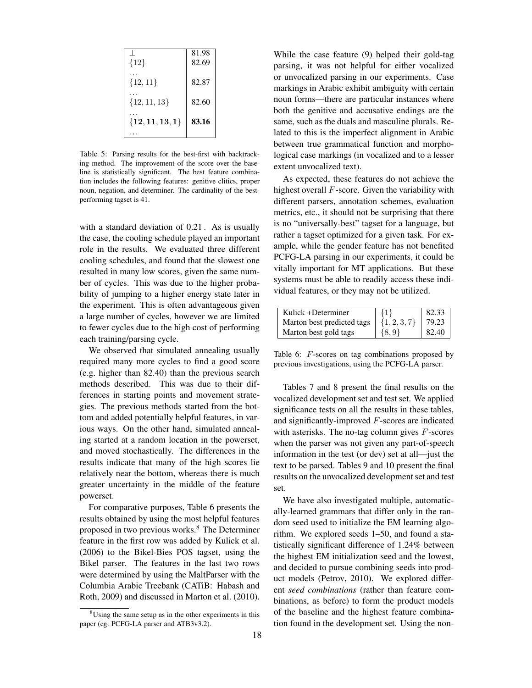|                   | 81.98 |
|-------------------|-------|
| ${12}$            | 82.69 |
|                   |       |
| $\{12, 11\}$      | 82.87 |
|                   | 82.60 |
| $\{12, 11, 13\}$  |       |
| ${12, 11, 13, 1}$ | 83.16 |
|                   |       |
|                   |       |

Table 5: Parsing results for the best-first with backtracking method. The improvement of the score over the baseline is statistically significant. The best feature combination includes the following features: genitive clitics, proper noun, negation, and determiner. The cardinality of the bestperforming tagset is 41.

with a standard deviation of 0.21 . As is usually the case, the cooling schedule played an important role in the results. We evaluated three different cooling schedules, and found that the slowest one resulted in many low scores, given the same number of cycles. This was due to the higher probability of jumping to a higher energy state later in the experiment. This is often advantageous given a large number of cycles, however we are limited to fewer cycles due to the high cost of performing each training/parsing cycle.

We observed that simulated annealing usually required many more cycles to find a good score (e.g. higher than 82.40) than the previous search methods described. This was due to their differences in starting points and movement strategies. The previous methods started from the bottom and added potentially helpful features, in various ways. On the other hand, simulated annealing started at a random location in the powerset, and moved stochastically. The differences in the results indicate that many of the high scores lie relatively near the bottom, whereas there is much greater uncertainty in the middle of the feature powerset.

For comparative purposes, Table 6 presents the results obtained by using the most helpful features proposed in two previous works.<sup>8</sup> The Determiner feature in the first row was added by Kulick et al. (2006) to the Bikel-Bies POS tagset, using the Bikel parser. The features in the last two rows were determined by using the MaltParser with the Columbia Arabic Treebank (CATiB: Habash and Roth, 2009) and discussed in Marton et al. (2010). While the case feature (9) helped their gold-tag parsing, it was not helpful for either vocalized or unvocalized parsing in our experiments. Case markings in Arabic exhibit ambiguity with certain noun forms—there are particular instances where both the genitive and accusative endings are the same, such as the duals and masculine plurals. Related to this is the imperfect alignment in Arabic between true grammatical function and morphological case markings (in vocalized and to a lesser extent unvocalized text).

As expected, these features do not achieve the highest overall F-score. Given the variability with different parsers, annotation schemes, evaluation metrics, etc., it should not be surprising that there is no "universally-best" tagset for a language, but rather a tagset optimized for a given task. For example, while the gender feature has not benefited PCFG-LA parsing in our experiments, it could be vitally important for MT applications. But these systems must be able to readily access these individual features, or they may not be utilized.

| Kulick +Determiner         | ${1}$            | 82.33 |
|----------------------------|------------------|-------|
| Marton best predicted tags | $\{1, 2, 3, 7\}$ | 79.23 |
| Marton best gold tags      | ${8,9}$          | 82.40 |

Table 6: F-scores on tag combinations proposed by previous investigations, using the PCFG-LA parser.

Tables 7 and 8 present the final results on the vocalized development set and test set. We applied significance tests on all the results in these tables, and significantly-improved F-scores are indicated with asterisks. The no-tag column gives  $F$ -scores when the parser was not given any part-of-speech information in the test (or dev) set at all—just the text to be parsed. Tables 9 and 10 present the final results on the unvocalized development set and test set.

We have also investigated multiple, automatically-learned grammars that differ only in the random seed used to initialize the EM learning algorithm. We explored seeds 1–50, and found a statistically significant difference of 1.24% between the highest EM initialization seed and the lowest, and decided to pursue combining seeds into product models (Petrov, 2010). We explored different *seed combinations* (rather than feature combinations, as before) to form the product models of the baseline and the highest feature combination found in the development set. Using the non-

 $8$ Using the same setup as in the other experiments in this paper (eg. PCFG-LA parser and ATB3v3.2).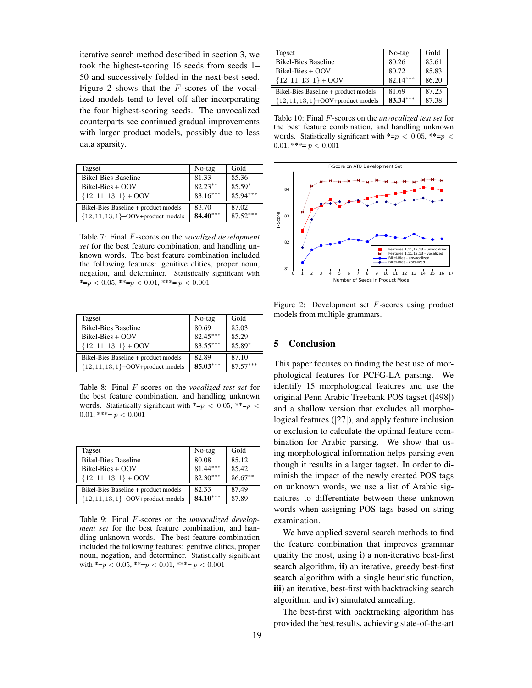iterative search method described in section 3, we took the highest-scoring 16 seeds from seeds 1– 50 and successively folded-in the next-best seed. Figure 2 shows that the F-scores of the vocalized models tend to level off after incorporating the four highest-scoring seeds. The unvocalized counterparts see continued gradual improvements with larger product models, possibly due to less data sparsity.

| Tagset                                | No-tag     | Gold       |
|---------------------------------------|------------|------------|
| <b>Bikel-Bies Baseline</b>            | 81.33      | 85.36      |
| Bikel-Bies + OOV                      | $82.23***$ | 85.59*     |
| $\{12, 11, 13, 1\}$ + OOV             | $83.16***$ | $85.94***$ |
| Bikel-Bies Baseline + product models  | 83.70      | 87.02      |
| ${12, 11, 13, 1}$ +OOV+product models | 84.40***   | $87.52***$ |

Table 7: Final F-scores on the *vocalized development set* for the best feature combination, and handling unknown words. The best feature combination included the following features: genitive clitics, proper noun, negation, and determiner. Statistically significant with \*=p < 0.05, \*\*=p < 0.01, \*\*\*= p < 0.001

| Tagset                                | No-tag     | Gold       |
|---------------------------------------|------------|------------|
| <b>Bikel-Bies Baseline</b>            | 80.69      | 85.03      |
| $Bikel-Bies + OOV$                    | $82.45***$ | 85.29      |
| ${12, 11, 13, 1} + OOV$               | $83.55***$ | 85.89*     |
| Bikel-Bies Baseline + product models  | 82.89      | 87.10      |
| ${12, 11, 13, 1}$ +OOV+product models | $85.03***$ | $87.57***$ |

Table 8: Final F-scores on the *vocalized test set* for the best feature combination, and handling unknown words. Statistically significant with  $\text{*=}p < 0.05$ ,  $\text{*=}p <$ 0.01, \*\*\*=  $p < 0.001$ 

| Tagset                                | No-tag     | Gold       |
|---------------------------------------|------------|------------|
| <b>Bikel-Bies Baseline</b>            | 80.08      | 85.12      |
| $Bikel-Bies + OOV$                    | $81.44***$ | 85.42      |
| ${12, 11, 13, 1} + OOV$               | $82.30***$ | $86.67***$ |
| Bikel-Bies Baseline + product models  | 82.33      | 87.49      |
| ${12, 11, 13, 1}$ +OOV+product models | $84.10***$ | 87.89      |

Table 9: Final F-scores on the *unvocalized development set* for the best feature combination, and handling unknown words. The best feature combination included the following features: genitive clitics, proper noun, negation, and determiner. Statistically significant with  $\text{*=}p < 0.05$ ,  $\text{*=}p < 0.01$ ,  $\text{*=}p < 0.001$ 

| Tagset                                | No-tag     | Gold  |
|---------------------------------------|------------|-------|
| <b>Bikel-Bies Baseline</b>            | 80.26      | 85.61 |
| $Bikel-Bies + OOV$                    | 80.72      | 85.83 |
| $\{12, 11, 13, 1\}$ + OOV             | $82.14***$ | 86.20 |
| Bikel-Bies Baseline + product models  | 81.69      | 87.23 |
| ${12, 11, 13, 1}$ +OOV+product models | $83.34***$ | 87.38 |

Table 10: Final F-scores on the *unvocalized test set* for the best feature combination, and handling unknown words. Statistically significant with \*=p < 0.05, \*\*=p < 0.01, \*\*\*=  $p < 0.001$ 



Figure 2: Development set F-scores using product models from multiple grammars.

## 5 Conclusion

This paper focuses on finding the best use of morphological features for PCFG-LA parsing. We identify 15 morphological features and use the original Penn Arabic Treebank POS tagset (|498|) and a shallow version that excludes all morphological features (|27|), and apply feature inclusion or exclusion to calculate the optimal feature combination for Arabic parsing. We show that using morphological information helps parsing even though it results in a larger tagset. In order to diminish the impact of the newly created POS tags on unknown words, we use a list of Arabic signatures to differentiate between these unknown words when assigning POS tags based on string examination.

We have applied several search methods to find the feature combination that improves grammar quality the most, using i) a non-iterative best-first search algorithm, ii) an iterative, greedy best-first search algorithm with a single heuristic function, iii) an iterative, best-first with backtracking search algorithm, and iv) simulated annealing.

The best-first with backtracking algorithm has provided the best results, achieving state-of-the-art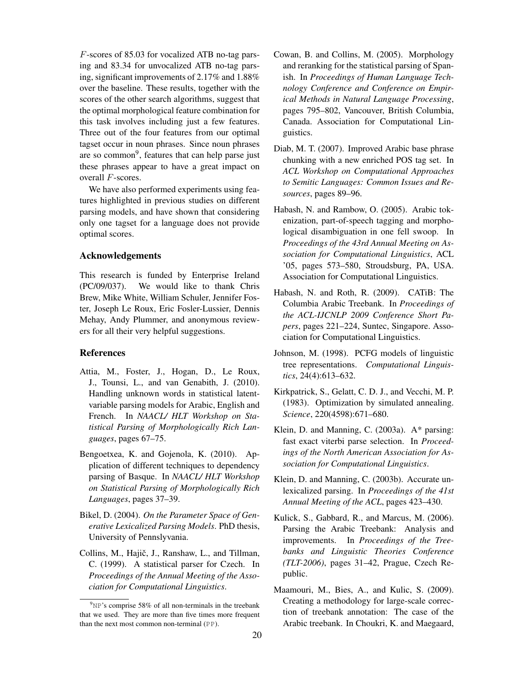F-scores of 85.03 for vocalized ATB no-tag parsing and 83.34 for unvocalized ATB no-tag parsing, significant improvements of 2.17% and 1.88% over the baseline. These results, together with the scores of the other search algorithms, suggest that the optimal morphological feature combination for this task involves including just a few features. Three out of the four features from our optimal tagset occur in noun phrases. Since noun phrases are so common<sup>9</sup>, features that can help parse just these phrases appear to have a great impact on overall F-scores.

We have also performed experiments using features highlighted in previous studies on different parsing models, and have shown that considering only one tagset for a language does not provide optimal scores.

#### Acknowledgements

This research is funded by Enterprise Ireland (PC/09/037). We would like to thank Chris Brew, Mike White, William Schuler, Jennifer Foster, Joseph Le Roux, Eric Fosler-Lussier, Dennis Mehay, Andy Plummer, and anonymous reviewers for all their very helpful suggestions.

#### References

- Attia, M., Foster, J., Hogan, D., Le Roux, J., Tounsi, L., and van Genabith, J. (2010). Handling unknown words in statistical latentvariable parsing models for Arabic, English and French. In *NAACL/ HLT Workshop on Statistical Parsing of Morphologically Rich Languages*, pages 67–75.
- Bengoetxea, K. and Gojenola, K. (2010). Application of different techniques to dependency parsing of Basque. In *NAACL/ HLT Workshop on Statistical Parsing of Morphologically Rich Languages*, pages 37–39.
- Bikel, D. (2004). *On the Parameter Space of Generative Lexicalized Parsing Models*. PhD thesis, University of Pennslyvania.
- Collins, M., Hajič, J., Ranshaw, L., and Tillman, C. (1999). A statistical parser for Czech. In *Proceedings of the Annual Meeting of the Association for Computational Linguistics*.
- Cowan, B. and Collins, M. (2005). Morphology and reranking for the statistical parsing of Spanish. In *Proceedings of Human Language Technology Conference and Conference on Empirical Methods in Natural Language Processing*, pages 795–802, Vancouver, British Columbia, Canada. Association for Computational Linguistics.
- Diab, M. T. (2007). Improved Arabic base phrase chunking with a new enriched POS tag set. In *ACL Workshop on Computational Approaches to Semitic Languages: Common Issues and Resources*, pages 89–96.
- Habash, N. and Rambow, O. (2005). Arabic tokenization, part-of-speech tagging and morphological disambiguation in one fell swoop. In *Proceedings of the 43rd Annual Meeting on Association for Computational Linguistics*, ACL '05, pages 573–580, Stroudsburg, PA, USA. Association for Computational Linguistics.
- Habash, N. and Roth, R. (2009). CATiB: The Columbia Arabic Treebank. In *Proceedings of the ACL-IJCNLP 2009 Conference Short Papers*, pages 221–224, Suntec, Singapore. Association for Computational Linguistics.
- Johnson, M. (1998). PCFG models of linguistic tree representations. *Computational Linguistics*, 24(4):613–632.
- Kirkpatrick, S., Gelatt, C. D. J., and Vecchi, M. P. (1983). Optimization by simulated annealing. *Science*, 220(4598):671–680.
- Klein, D. and Manning, C. (2003a). A\* parsing: fast exact viterbi parse selection. In *Proceedings of the North American Association for Association for Computational Linguistics*.
- Klein, D. and Manning, C. (2003b). Accurate unlexicalized parsing. In *Proceedings of the 41st Annual Meeting of the ACL*, pages 423–430.
- Kulick, S., Gabbard, R., and Marcus, M. (2006). Parsing the Arabic Treebank: Analysis and improvements. In *Proceedings of the Treebanks and Linguistic Theories Conference (TLT-2006)*, pages 31–42, Prague, Czech Republic.
- Maamouri, M., Bies, A., and Kulic, S. (2009). Creating a methodology for large-scale correction of treebank annotation: The case of the Arabic treebank. In Choukri, K. and Maegaard,

 $9^9$ <sub>NP</sub>'s comprise 58% of all non-terminals in the treebank that we used. They are more than five times more frequent than the next most common non-terminal (PP).